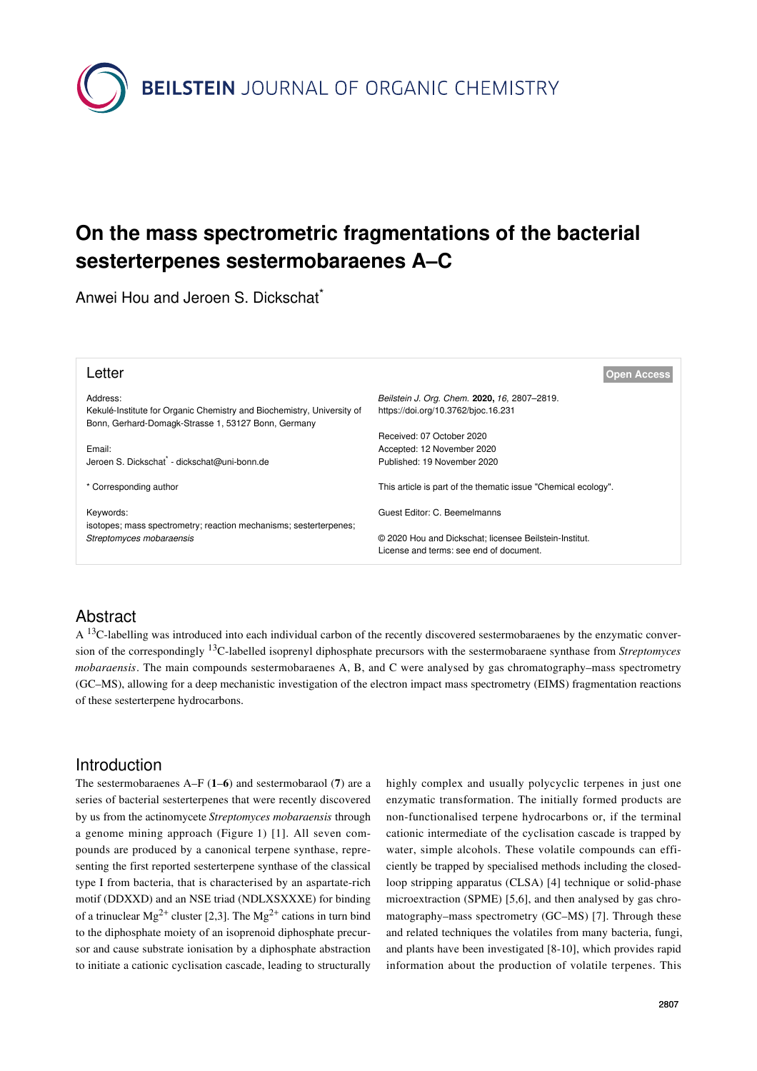

# **On the mass spectrometric fragmentations of the bacterial sesterterpenes sestermobaraenes A–C**

Anwei Hou and Jeroen S. Dickschat<sup>\*</sup>

| Letter                                                                                                                        | Open Access                                                    |
|-------------------------------------------------------------------------------------------------------------------------------|----------------------------------------------------------------|
| Address:                                                                                                                      | Beilstein J. Org. Chem. 2020, 16, 2807-2819.                   |
| Kekulé-Institute for Organic Chemistry and Biochemistry, University of<br>Bonn, Gerhard-Domagk-Strasse 1, 53127 Bonn, Germany | https://doi.org/10.3762/bjoc.16.231                            |
|                                                                                                                               | Received: 07 October 2020                                      |
| Email:                                                                                                                        | Accepted: 12 November 2020                                     |
| Jeroen S. Dickschat <sup>®</sup> - dickschat@uni-bonn.de                                                                      | Published: 19 November 2020                                    |
| * Corresponding author                                                                                                        | This article is part of the thematic issue "Chemical ecology". |
| Keywords:<br>isotopes; mass spectrometry; reaction mechanisms; sesterterpenes;                                                | Guest Editor: C. Beemelmanns                                   |
| Streptomyces mobaraensis                                                                                                      | © 2020 Hou and Dickschat; licensee Beilstein-Institut.         |
|                                                                                                                               | License and terms: see end of document.                        |

## Abstract

A <sup>13</sup>C-labelling was introduced into each individual carbon of the recently discovered sestermobaraenes by the enzymatic conversion of the correspondingly 13C-labelled isoprenyl diphosphate precursors with the sestermobaraene synthase from *Streptomyces mobaraensis*. The main compounds sestermobaraenes A, B, and C were analysed by gas chromatography–mass spectrometry (GC–MS), allowing for a deep mechanistic investigation of the electron impact mass spectrometry (EIMS) fragmentation reactions of these sesterterpene hydrocarbons.

### Introduction

The sestermobaraenes A–F (**1**–**6**) and sestermobaraol (**7**) are a series of bacterial sesterterpenes that were recently discovered by us from the actinomycete *Streptomyces mobaraensis* through a genome mining approach ([Figure 1](#page-1-0)) [\[1\]](#page-11-0). All seven compounds are produced by a canonical terpene synthase, representing the first reported sesterterpene synthase of the classical type I from bacteria, that is characterised by an aspartate-rich motif (DDXXD) and an NSE triad (NDLXSXXXE) for binding of a trinuclear Mg<sup>2+</sup> cluster [\[2,3\]](#page-11-1). The Mg<sup>2+</sup> cations in turn bind to the diphosphate moiety of an isoprenoid diphosphate precursor and cause substrate ionisation by a diphosphate abstraction to initiate a cationic cyclisation cascade, leading to structurally

highly complex and usually polycyclic terpenes in just one enzymatic transformation. The initially formed products are non-functionalised terpene hydrocarbons or, if the terminal cationic intermediate of the cyclisation cascade is trapped by water, simple alcohols. These volatile compounds can efficiently be trapped by specialised methods including the closedloop stripping apparatus (CLSA) [\[4\]](#page-11-2) technique or solid-phase microextraction (SPME) [\[5,6\]](#page-11-3), and then analysed by gas chromatography–mass spectrometry (GC–MS) [\[7\]](#page-11-4). Through these and related techniques the volatiles from many bacteria, fungi, and plants have been investigated [\[8-10\]](#page-11-5), which provides rapid information about the production of volatile terpenes. This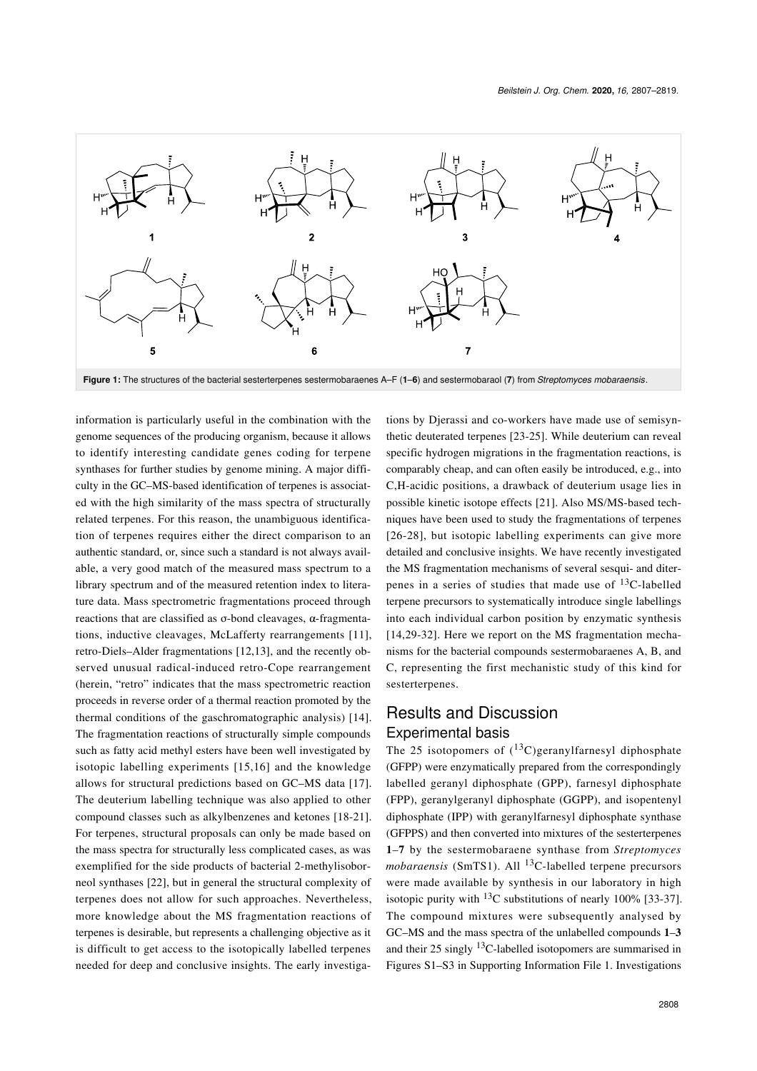<span id="page-1-0"></span>

information is particularly useful in the combination with the genome sequences of the producing organism, because it allows to identify interesting candidate genes coding for terpene synthases for further studies by genome mining. A major difficulty in the GC–MS-based identification of terpenes is associated with the high similarity of the mass spectra of structurally related terpenes. For this reason, the unambiguous identification of terpenes requires either the direct comparison to an authentic standard, or, since such a standard is not always available, a very good match of the measured mass spectrum to a library spectrum and of the measured retention index to literature data. Mass spectrometric fragmentations proceed through reactions that are classified as σ-bond cleavages, α-fragmentations, inductive cleavages, McLafferty rearrangements [\[11\]](#page-11-6), retro-Diels–Alder fragmentations [\[12,13\]](#page-11-7), and the recently observed unusual radical-induced retro-Cope rearrangement (herein, "retro" indicates that the mass spectrometric reaction proceeds in reverse order of a thermal reaction promoted by the thermal conditions of the gaschromatographic analysis) [\[14\]](#page-11-8). The fragmentation reactions of structurally simple compounds such as fatty acid methyl esters have been well investigated by isotopic labelling experiments [\[15,16\]](#page-11-9) and the knowledge allows for structural predictions based on GC–MS data [\[17\]](#page-11-10). The deuterium labelling technique was also applied to other compound classes such as alkylbenzenes and ketones [\[18-21\]](#page-11-11). For terpenes, structural proposals can only be made based on the mass spectra for structurally less complicated cases, as was exemplified for the side products of bacterial 2-methylisoborneol synthases [\[22\],](#page-11-12) but in general the structural complexity of terpenes does not allow for such approaches. Nevertheless, more knowledge about the MS fragmentation reactions of terpenes is desirable, but represents a challenging objective as it is difficult to get access to the isotopically labelled terpenes needed for deep and conclusive insights. The early investigations by Djerassi and co-workers have made use of semisynthetic deuterated terpenes [\[23-25\]](#page-11-13). While deuterium can reveal specific hydrogen migrations in the fragmentation reactions, is comparably cheap, and can often easily be introduced, e.g., into C,H-acidic positions, a drawback of deuterium usage lies in possible kinetic isotope effects [\[21\]](#page-11-14). Also MS/MS-based techniques have been used to study the fragmentations of terpenes [\[26-28\],](#page-11-15) but isotopic labelling experiments can give more detailed and conclusive insights. We have recently investigated the MS fragmentation mechanisms of several sesqui- and diterpenes in a series of studies that made use of  $^{13}$ C-labelled terpene precursors to systematically introduce single labellings into each individual carbon position by enzymatic synthesis [\[14,29-32\].](#page-11-8) Here we report on the MS fragmentation mechanisms for the bacterial compounds sestermobaraenes A, B, and C, representing the first mechanistic study of this kind for sesterterpenes.

### Results and Discussion Experimental basis

The 25 isotopomers of  $(^{13}C)$ geranylfarnesyl diphosphate (GFPP) were enzymatically prepared from the correspondingly labelled geranyl diphosphate (GPP), farnesyl diphosphate (FPP), geranylgeranyl diphosphate (GGPP), and isopentenyl diphosphate (IPP) with geranylfarnesyl diphosphate synthase (GFPPS) and then converted into mixtures of the sesterterpenes **1**–**7** by the sestermobaraene synthase from *Streptomyces* mobaraensis (SmTS1). All <sup>13</sup>C-labelled terpene precursors were made available by synthesis in our laboratory in high isotopic purity with  $^{13}$ C substitutions of nearly 100% [\[33-37\]](#page-11-16). The compound mixtures were subsequently analysed by GC–MS and the mass spectra of the unlabelled compounds **1**–**3** and their  $25$  singly <sup>13</sup>C-labelled isotopomers are summarised in Figures S1–S3 in [Supporting Information File 1](#page-11-17). Investigations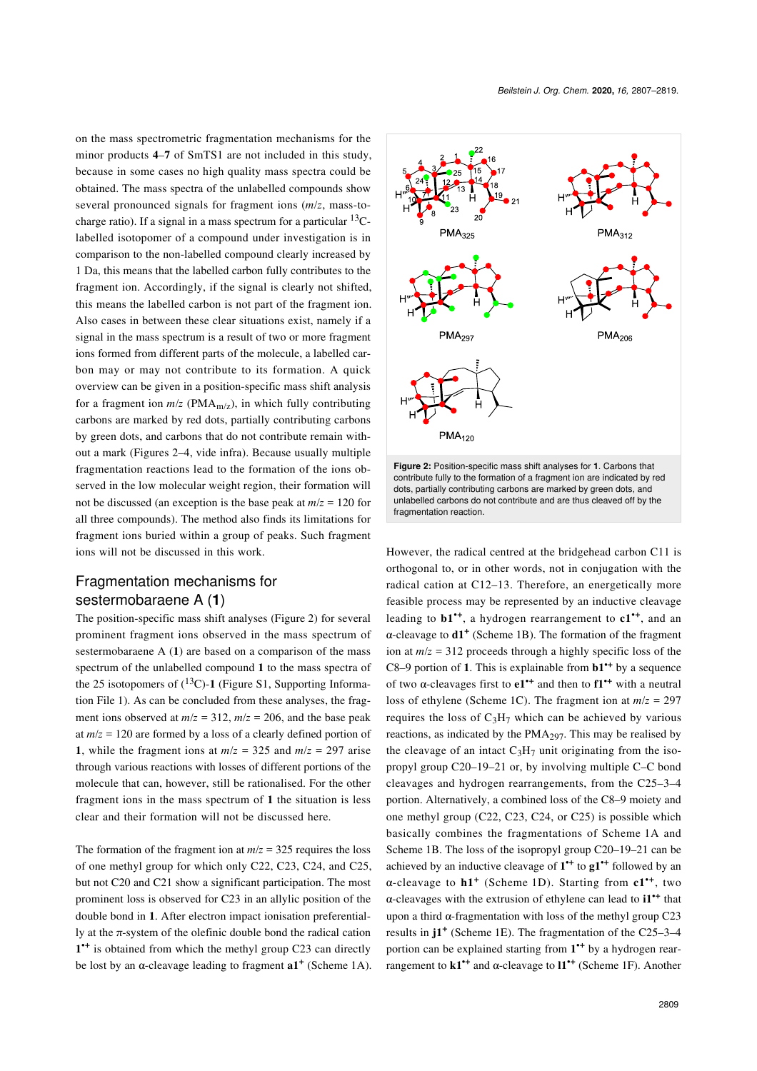on the mass spectrometric fragmentation mechanisms for the minor products **4**–**7** of SmTS1 are not included in this study, because in some cases no high quality mass spectra could be obtained. The mass spectra of the unlabelled compounds show several pronounced signals for fragment ions (*m*/*z*, mass-tocharge ratio). If a signal in a mass spectrum for a particular  $^{13}C$ labelled isotopomer of a compound under investigation is in comparison to the non-labelled compound clearly increased by 1 Da, this means that the labelled carbon fully contributes to the fragment ion. Accordingly, if the signal is clearly not shifted, this means the labelled carbon is not part of the fragment ion. Also cases in between these clear situations exist, namely if a signal in the mass spectrum is a result of two or more fragment ions formed from different parts of the molecule, a labelled carbon may or may not contribute to its formation. A quick overview can be given in a position-specific mass shift analysis for a fragment ion  $m/z$  (PMA<sub>m/z</sub>), in which fully contributing carbons are marked by red dots, partially contributing carbons by green dots, and carbons that do not contribute remain without a mark (Figures 2–4, vide infra). Because usually multiple fragmentation reactions lead to the formation of the ions observed in the low molecular weight region, their formation will not be discussed (an exception is the base peak at *m*/*z* = 120 for all three compounds). The method also finds its limitations for fragment ions buried within a group of peaks. Such fragment ions will not be discussed in this work.

#### Fragmentation mechanisms for sestermobaraene A (**1**)

The position-specific mass shift analyses ([Figure 2\)](#page-2-0) for several prominent fragment ions observed in the mass spectrum of sestermobaraene A (**1**) are based on a comparison of the mass spectrum of the unlabelled compound **1** to the mass spectra of the 25 isotopomers of  $(^{13}C)$ -1 (Figure S1, [Supporting Informa](#page-11-17)[tion File 1](#page-11-17)). As can be concluded from these analyses, the fragment ions observed at  $m/z = 312$ ,  $m/z = 206$ , and the base peak at *m*/*z* = 120 are formed by a loss of a clearly defined portion of **1**, while the fragment ions at  $m/z = 325$  and  $m/z = 297$  arise through various reactions with losses of different portions of the molecule that can, however, still be rationalised. For the other fragment ions in the mass spectrum of **1** the situation is less clear and their formation will not be discussed here.

The formation of the fragment ion at  $m/z = 325$  requires the loss of one methyl group for which only C22, C23, C24, and C25, but not C20 and C21 show a significant participation. The most prominent loss is observed for C23 in an allylic position of the double bond in **1**. After electron impact ionisation preferentially at the  $\pi$ -system of the olefinic double bond the radical cation 1<sup>++</sup> is obtained from which the methyl group C23 can directly be lost by an  $\alpha$ -cleavage leading to fragment  $a1^+$  ([Scheme 1A\)](#page-3-0).

<span id="page-2-0"></span>



However, the radical centred at the bridgehead carbon C11 is orthogonal to, or in other words, not in conjugation with the radical cation at C12–13. Therefore, an energetically more feasible process may be represented by an inductive cleavage leading to **b1•+**, a hydrogen rearrangement to **c1•+**, and an α-cleavage to **d1<sup>+</sup>** ([Scheme 1B](#page-3-0)). The formation of the fragment ion at *m*/*z* = 312 proceeds through a highly specific loss of the C8–9 portion of **1**. This is explainable from **b1•+** by a sequence of two α-cleavages first to **e1•+** and then to **f1•+** with a neutral loss of ethylene ([Scheme 1C\)](#page-3-0). The fragment ion at *m*/*z* = 297 requires the loss of  $C_3H_7$  which can be achieved by various reactions, as indicated by the  $PMA<sub>297</sub>$ . This may be realised by the cleavage of an intact  $C_3H_7$  unit originating from the isopropyl group C20–19–21 or, by involving multiple C–C bond cleavages and hydrogen rearrangements, from the C25–3–4 portion. Alternatively, a combined loss of the C8–9 moiety and one methyl group (C22, C23, C24, or C25) is possible which basically combines the fragmentations of [Scheme 1A](#page-3-0) and [Scheme 1B](#page-3-0). The loss of the isopropyl group C20–19–21 can be achieved by an inductive cleavage of **1 •+** to **g1•+** followed by an α-cleavage to **h1<sup>+</sup>** ([Scheme 1D](#page-3-0)). Starting from **c1•+**, two α-cleavages with the extrusion of ethylene can lead to **i1•+** that upon a third  $α$ -fragmentation with loss of the methyl group C23 results in **j1<sup>+</sup>** [\(Scheme 1E\)](#page-3-0). The fragmentation of the C25–3–4 portion can be explained starting from **1 •+** by a hydrogen rearrangement to **k1•+** and α-cleavage to **l1•+** ([Scheme 1F](#page-3-0)). Another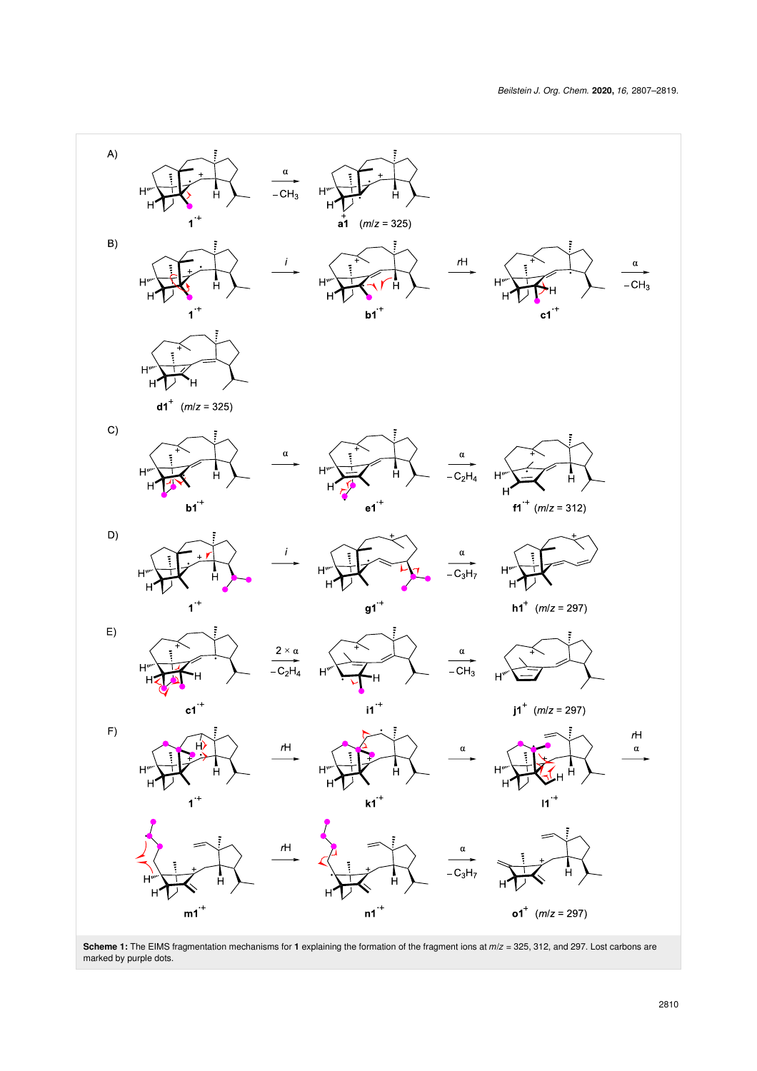<span id="page-3-0"></span>

**Scheme 1:** The EIMS fragmentation mechanisms for **1** explaining the formation of the fragment ions at *m*/*z* = 325, 312, and 297. Lost carbons are marked by purple dots.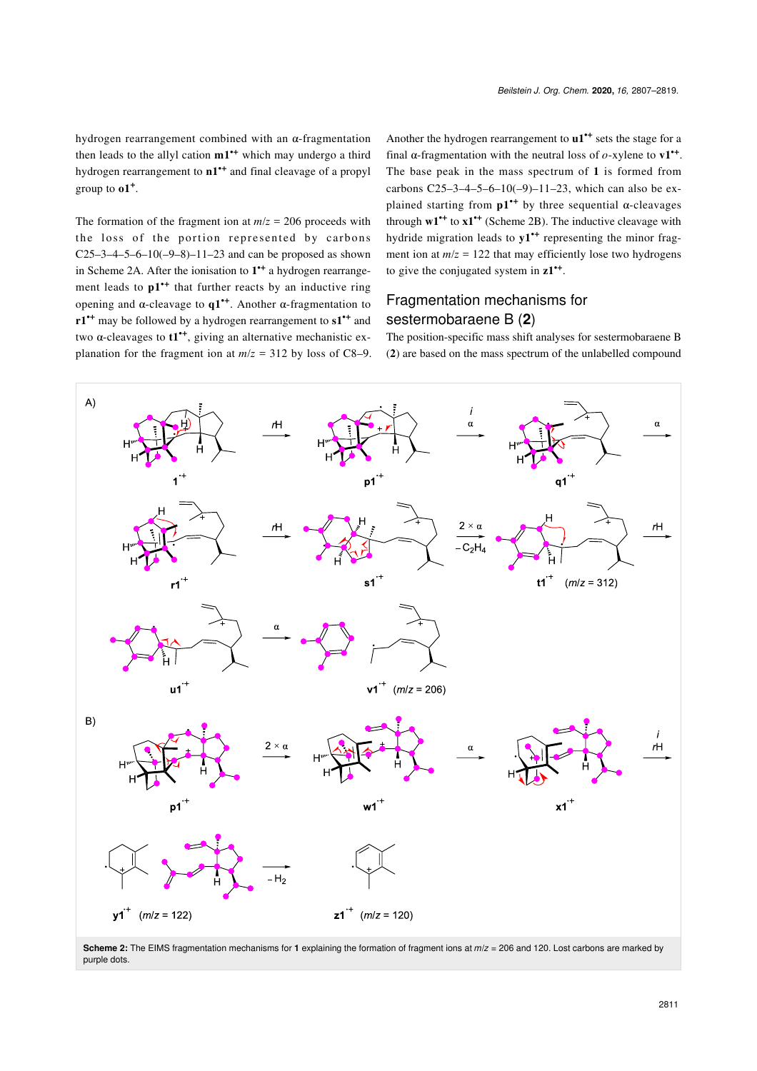hydrogen rearrangement combined with an α-fragmentation then leads to the allyl cation **m1•+** which may undergo a third hydrogen rearrangement to **n1•+** and final cleavage of a propyl group to **o1<sup>+</sup>** .

The formation of the fragment ion at  $m/z = 206$  proceeds with the loss of the portion represented by carbons  $C25-3-4-5-6-10(-9-8)-11-23$  and can be proposed as shown in [Scheme 2A.](#page-4-0) After the ionisation to **1 •+** a hydrogen rearrangement leads to  $p1^{+}$  that further reacts by an inductive ring opening and α-cleavage to **q1•+**. Another α-fragmentation to **r1•+** may be followed by a hydrogen rearrangement to **s1•+** and two α-cleavages to **t1•+**, giving an alternative mechanistic explanation for the fragment ion at  $m/z = 312$  by loss of C8–9. Another the hydrogen rearrangement to **u1•+** sets the stage for a final  $\alpha$ -fragmentation with the neutral loss of  $o$ -xylene to  $v1$ <sup>++</sup>. The base peak in the mass spectrum of **1** is formed from carbons C25–3–4–5–6–10(–9)–11–23, which can also be explained starting from **p1•+** by three sequential α-cleavages through **w1•+** to **x1•+** [\(Scheme 2B\)](#page-4-0). The inductive cleavage with hydride migration leads to **y1•+** representing the minor fragment ion at  $m/z = 122$  that may efficiently lose two hydrogens to give the conjugated system in **z1•+** .

#### Fragmentation mechanisms for sestermobaraene B (**2**)

The position-specific mass shift analyses for sestermobaraene B (**2**) are based on the mass spectrum of the unlabelled compound

<span id="page-4-0"></span>

**Scheme 2:** The EIMS fragmentation mechanisms for **1** explaining the formation of fragment ions at *m*/*z* = 206 and 120. Lost carbons are marked by purple dots.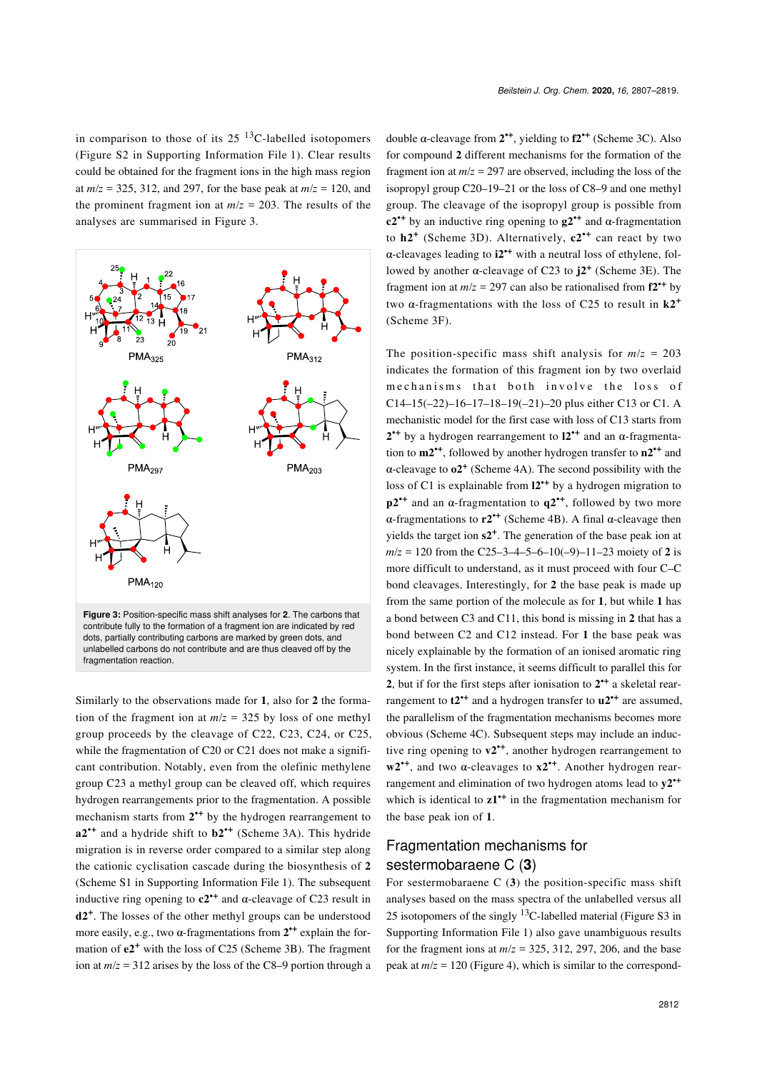in comparison to those of its  $25^{13}$ C-labelled isotopomers (Figure S2 in [Supporting Information File 1](#page-11-17)). Clear results could be obtained for the fragment ions in the high mass region at  $m/z = 325, 312,$  and 297, for the base peak at  $m/z = 120$ , and the prominent fragment ion at  $m/z = 203$ . The results of the analyses are summarised in [Figure 3.](#page-5-0)

<span id="page-5-0"></span>

Similarly to the observations made for **1**, also for **2** the formation of the fragment ion at  $m/z = 325$  by loss of one methyl group proceeds by the cleavage of C22, C23, C24, or C25, while the fragmentation of C20 or C21 does not make a significant contribution. Notably, even from the olefinic methylene group C23 a methyl group can be cleaved off, which requires hydrogen rearrangements prior to the fragmentation. A possible mechanism starts from  $2^{++}$  by the hydrogen rearrangement to **a2•+** and a hydride shift to **b2•+** ([Scheme 3A](#page-6-0)). This hydride migration is in reverse order compared to a similar step along the cationic cyclisation cascade during the biosynthesis of **2** (Scheme S1 in [Supporting Information File 1](#page-11-17)). The subsequent inductive ring opening to  $c2^*$  and  $\alpha$ -cleavage of C23 result in **d2<sup>+</sup>** . The losses of the other methyl groups can be understood more easily, e.g., two  $\alpha$ -fragmentations from  $2^{+}$  explain the formation of **e2<sup>+</sup>** with the loss of C25 [\(Scheme 3B](#page-6-0)). The fragment ion at  $m/z = 312$  arises by the loss of the C8–9 portion through a

double α-cleavage from **2 •+**, yielding to **f2•+** [\(Scheme 3C\)](#page-6-0). Also for compound **2** different mechanisms for the formation of the fragment ion at  $m/z = 297$  are observed, including the loss of the isopropyl group C20–19–21 or the loss of C8–9 and one methyl group. The cleavage of the isopropyl group is possible from **c2•+** by an inductive ring opening to **g2•+** and α-fragmentation to **h2<sup>+</sup>** ([Scheme 3D](#page-6-0)). Alternatively, **c2•+** can react by two α-cleavages leading to **i2•+** with a neutral loss of ethylene, followed by another α-cleavage of C23 to **j2<sup>+</sup>** [\(Scheme 3E](#page-6-0)). The fragment ion at  $m/z = 297$  can also be rationalised from  $f2^{+}$  by two α-fragmentations with the loss of C25 to result in **k2<sup>+</sup>** ([Scheme 3F](#page-6-0)).

The position-specific mass shift analysis for  $m/z = 203$ indicates the formation of this fragment ion by two overlaid mechanisms that both involve the loss of C14–15(–22)–16–17–18–19(–21)–20 plus either C13 or C1. A mechanistic model for the first case with loss of C13 starts from **2 •+** by a hydrogen rearrangement to **l2•+** and an α-fragmentation to **m2•+**, followed by another hydrogen transfer to **n2•+** and  $\alpha$ -cleavage to  $\alpha$ <sup>+</sup> ([Scheme 4A\)](#page-7-0). The second possibility with the loss of C1 is explainable from **l2•+** by a hydrogen migration to **p2•+** and an α-fragmentation to **q2•+**, followed by two more α-fragmentations to **r2•+** [\(Scheme 4B](#page-7-0)). A final α-cleavage then yields the target ion **s2<sup>+</sup>** . The generation of the base peak ion at  $m/z = 120$  from the C25–3–4–5–6–10(–9)–11–23 moiety of 2 is more difficult to understand, as it must proceed with four C–C bond cleavages. Interestingly, for **2** the base peak is made up from the same portion of the molecule as for **1**, but while **1** has a bond between C3 and C11, this bond is missing in **2** that has a bond between C2 and C12 instead. For **1** the base peak was nicely explainable by the formation of an ionised aromatic ring system. In the first instance, it seems difficult to parallel this for **2**, but if for the first steps after ionisation to **2 •+** a skeletal rearrangement to **t2•+** and a hydrogen transfer to **u2•+** are assumed, the parallelism of the fragmentation mechanisms becomes more obvious [\(Scheme 4C\)](#page-7-0). Subsequent steps may include an inductive ring opening to **v2•+**, another hydrogen rearrangement to **w2•+**, and two α-cleavages to **x2•+**. Another hydrogen rearrangement and elimination of two hydrogen atoms lead to **y2•+** which is identical to **z1•+** in the fragmentation mechanism for the base peak ion of **1**.

#### Fragmentation mechanisms for sestermobaraene C (**3**)

For sestermobaraene C (**3**) the position-specific mass shift analyses based on the mass spectra of the unlabelled versus all 25 isotopomers of the singly  $13C$ -labelled material (Figure S3 in [Supporting Information File 1](#page-11-17)) also gave unambiguous results for the fragment ions at  $m/z = 325$ , 312, 297, 206, and the base peak at  $m/z = 120$  [\(Figure 4\)](#page-8-0), which is similar to the correspond-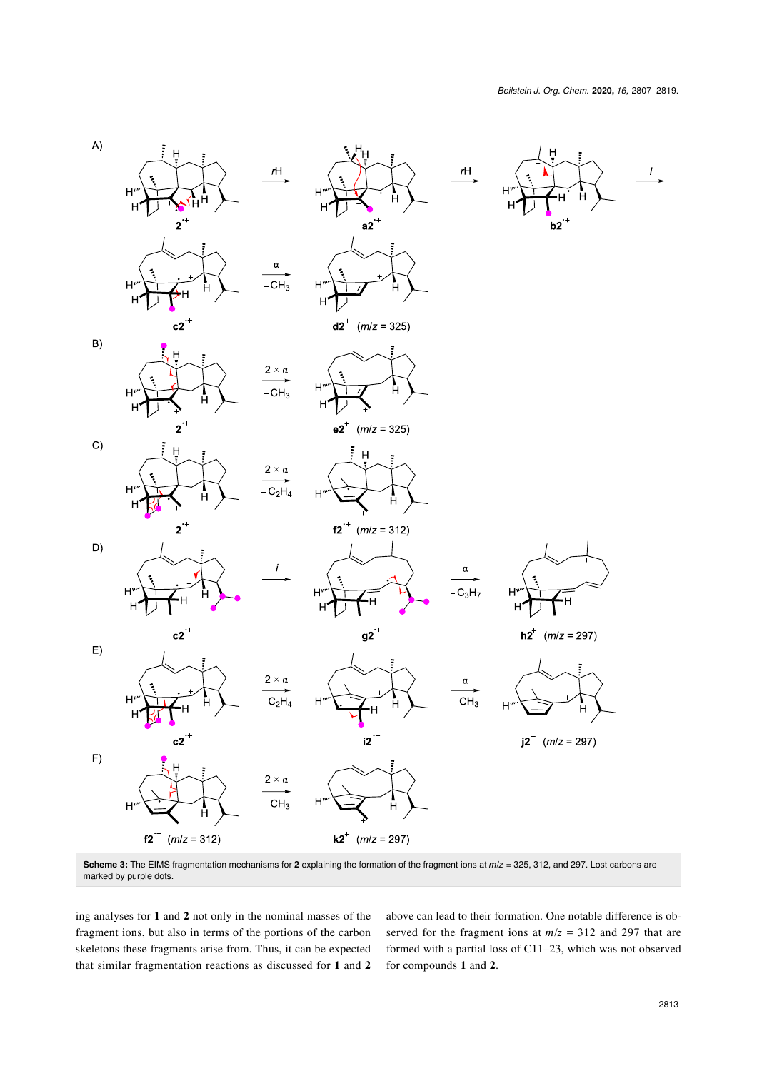<span id="page-6-0"></span>

marked by purple dots.

ing analyses for **1** and **2** not only in the nominal masses of the fragment ions, but also in terms of the portions of the carbon skeletons these fragments arise from. Thus, it can be expected that similar fragmentation reactions as discussed for **1** and **2** above can lead to their formation. One notable difference is observed for the fragment ions at *m*/*z* = 312 and 297 that are formed with a partial loss of C11–23, which was not observed for compounds **1** and **2**.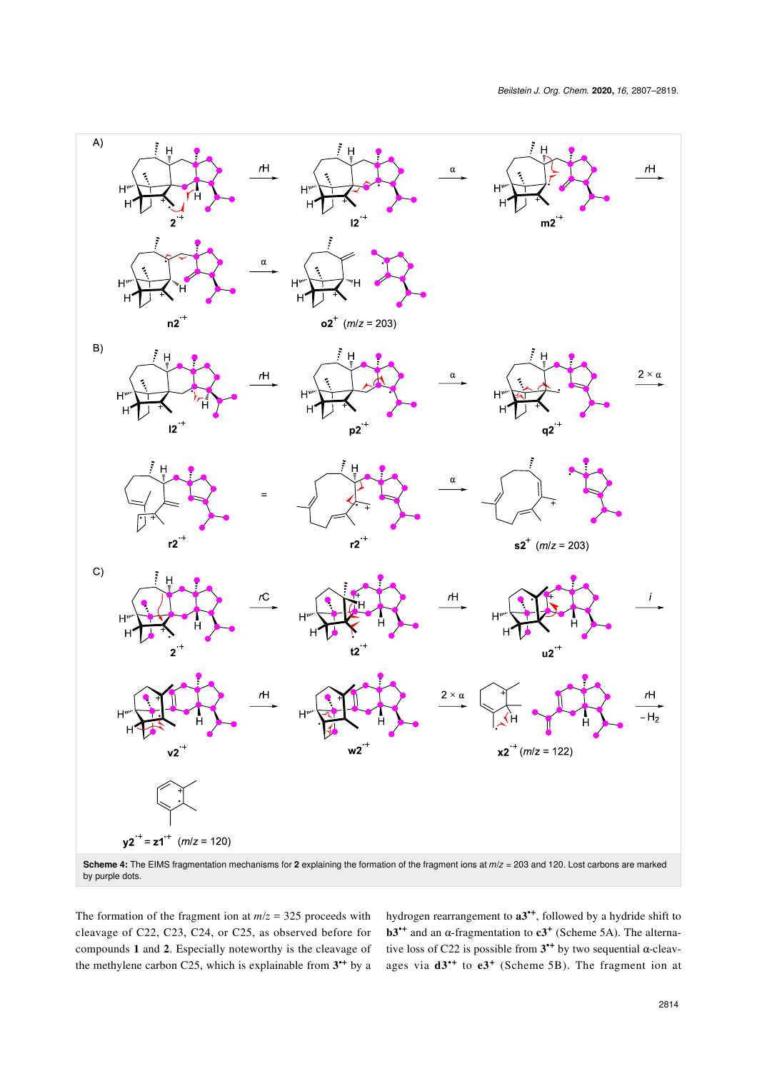<span id="page-7-0"></span>

The formation of the fragment ion at  $m/z = 325$  proceeds with cleavage of C22, C23, C24, or C25, as observed before for compounds **1** and **2**. Especially noteworthy is the cleavage of the methylene carbon C25, which is explainable from **3 •+** by a

hydrogen rearrangement to **a3•+**, followed by a hydride shift to **b3<sup>\*+</sup>** and an  $\alpha$ -fragmentation to  $c3^+$  ([Scheme 5A](#page-9-0)). The alternative loss of C22 is possible from  $3^{++}$  by two sequential  $\alpha$ -cleavages via **d3•+** to **e3<sup>+</sup>** ([Scheme 5B](#page-9-0)). The fragment ion at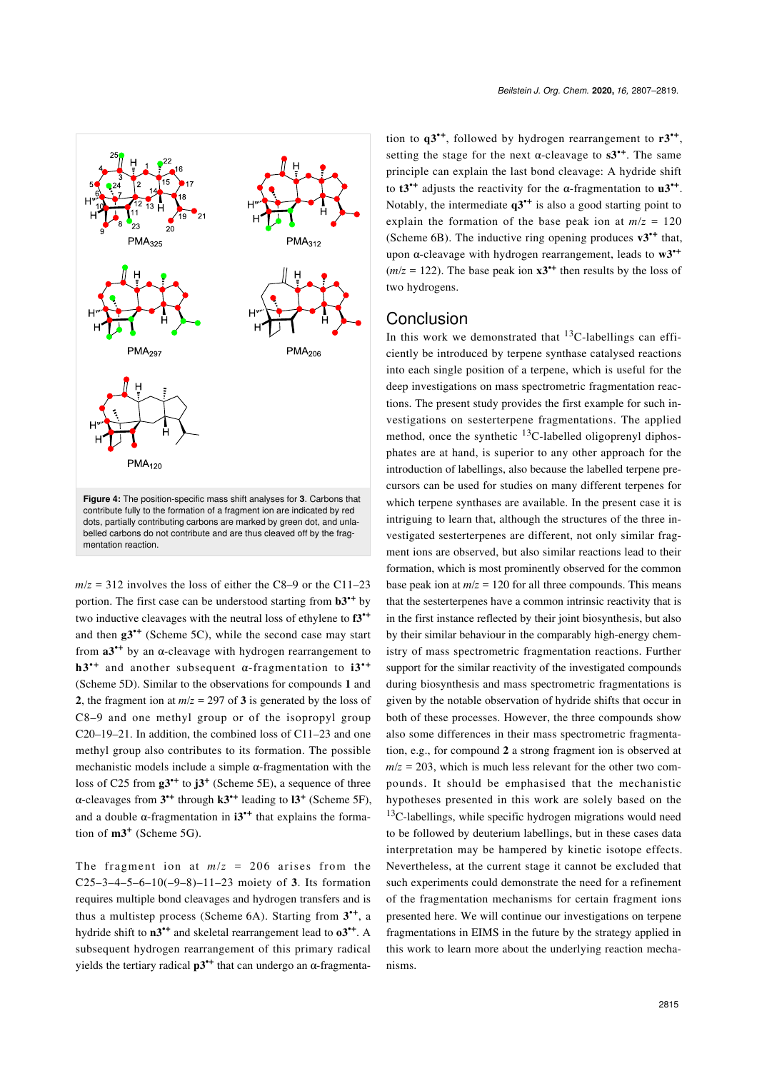<span id="page-8-0"></span>

dots, partially contributing carbons are marked by green dot, and unlabelled carbons do not contribute and are thus cleaved off by the fragmentation reaction.

 $m/z = 312$  involves the loss of either the C8–9 or the C11–23 portion. The first case can be understood starting from **b3•+** by two inductive cleavages with the neutral loss of ethylene to **f3•+** and then **g3•+** ([Scheme 5C\)](#page-9-0), while the second case may start from  $a3^*$ <sup>+</sup> by an  $\alpha$ -cleavage with hydrogen rearrangement to **h3•+** and another subsequent α-fragmentation to **i3•+** ([Scheme 5D\)](#page-9-0). Similar to the observations for compounds **1** and **2**, the fragment ion at  $m/z = 297$  of **3** is generated by the loss of C8–9 and one methyl group or of the isopropyl group C20–19–21. In addition, the combined loss of C11–23 and one methyl group also contributes to its formation. The possible mechanistic models include a simple  $\alpha$ -fragmentation with the loss of C25 from **g3•+** to **j3<sup>+</sup>** ([Scheme 5E](#page-9-0)), a sequence of three α-cleavages from **3 •+** through **k3•+** leading to **l3<sup>+</sup>** ([Scheme 5F\)](#page-9-0), and a double  $\alpha$ -fragmentation in  $i3^{*+}$  that explains the formation of **m3<sup>+</sup>** ([Scheme 5G](#page-9-0)).

The fragment ion at  $m/z = 206$  arises from the C25–3–4–5–6–10(–9–8)–11–23 moiety of 3. Its formation requires multiple bond cleavages and hydrogen transfers and is thus a multistep process ([Scheme 6A](#page-10-0)). Starting from **3 •+**, a hydride shift to **n3•+** and skeletal rearrangement lead to **o3•+**. A subsequent hydrogen rearrangement of this primary radical yields the tertiary radical  $p3^*$ <sup>+</sup> that can undergo an α-fragmenta-

tion to **q3•+**, followed by hydrogen rearrangement to **r3•+** , setting the stage for the next  $\alpha$ -cleavage to  $s3^{+1}$ . The same principle can explain the last bond cleavage: A hydride shift to  $t3^{+}$  adjusts the reactivity for the  $\alpha$ -fragmentation to  $u3^{+}$ . Notably, the intermediate **q3•+** is also a good starting point to explain the formation of the base peak ion at  $m/z = 120$ ([Scheme 6B](#page-10-0)). The inductive ring opening produces **v3•+** that, upon α-cleavage with hydrogen rearrangement, leads to **w3•+**  $(m/z = 122)$ . The base peak ion  $x3^{++}$  then results by the loss of two hydrogens.

#### **Conclusion**

In this work we demonstrated that  $^{13}$ C-labellings can efficiently be introduced by terpene synthase catalysed reactions into each single position of a terpene, which is useful for the deep investigations on mass spectrometric fragmentation reactions. The present study provides the first example for such investigations on sesterterpene fragmentations. The applied method, once the synthetic  $^{13}$ C-labelled oligoprenyl diphosphates are at hand, is superior to any other approach for the introduction of labellings, also because the labelled terpene precursors can be used for studies on many different terpenes for which terpene synthases are available. In the present case it is intriguing to learn that, although the structures of the three investigated sesterterpenes are different, not only similar fragment ions are observed, but also similar reactions lead to their formation, which is most prominently observed for the common base peak ion at  $m/z = 120$  for all three compounds. This means that the sesterterpenes have a common intrinsic reactivity that is in the first instance reflected by their joint biosynthesis, but also by their similar behaviour in the comparably high-energy chemistry of mass spectrometric fragmentation reactions. Further support for the similar reactivity of the investigated compounds during biosynthesis and mass spectrometric fragmentations is given by the notable observation of hydride shifts that occur in both of these processes. However, the three compounds show also some differences in their mass spectrometric fragmentation, e.g., for compound **2** a strong fragment ion is observed at  $m/z = 203$ , which is much less relevant for the other two compounds. It should be emphasised that the mechanistic hypotheses presented in this work are solely based on the  $13C$ -labellings, while specific hydrogen migrations would need to be followed by deuterium labellings, but in these cases data interpretation may be hampered by kinetic isotope effects. Nevertheless, at the current stage it cannot be excluded that such experiments could demonstrate the need for a refinement of the fragmentation mechanisms for certain fragment ions presented here. We will continue our investigations on terpene fragmentations in EIMS in the future by the strategy applied in this work to learn more about the underlying reaction mechanisms.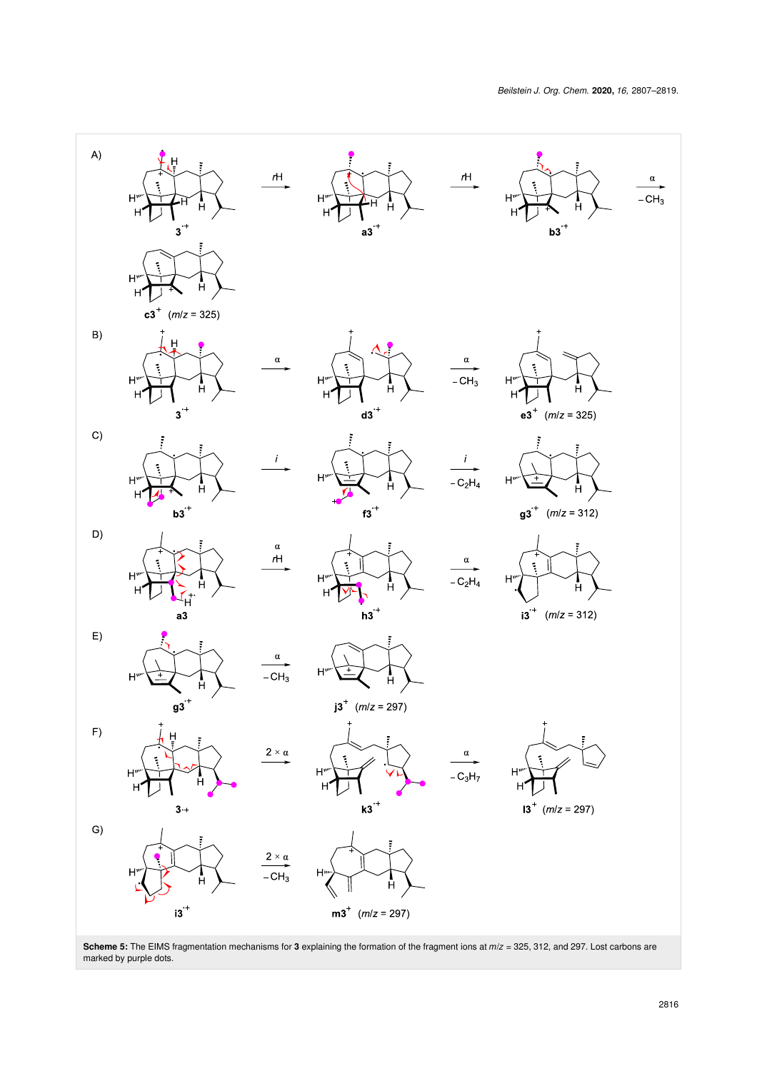<span id="page-9-0"></span>

**Scheme 5:** The EIMS fragmentation mechanisms for **3** explaining the formation of the fragment ions at *m*/*z* = 325, 312, and 297. Lost carbons are marked by purple dots.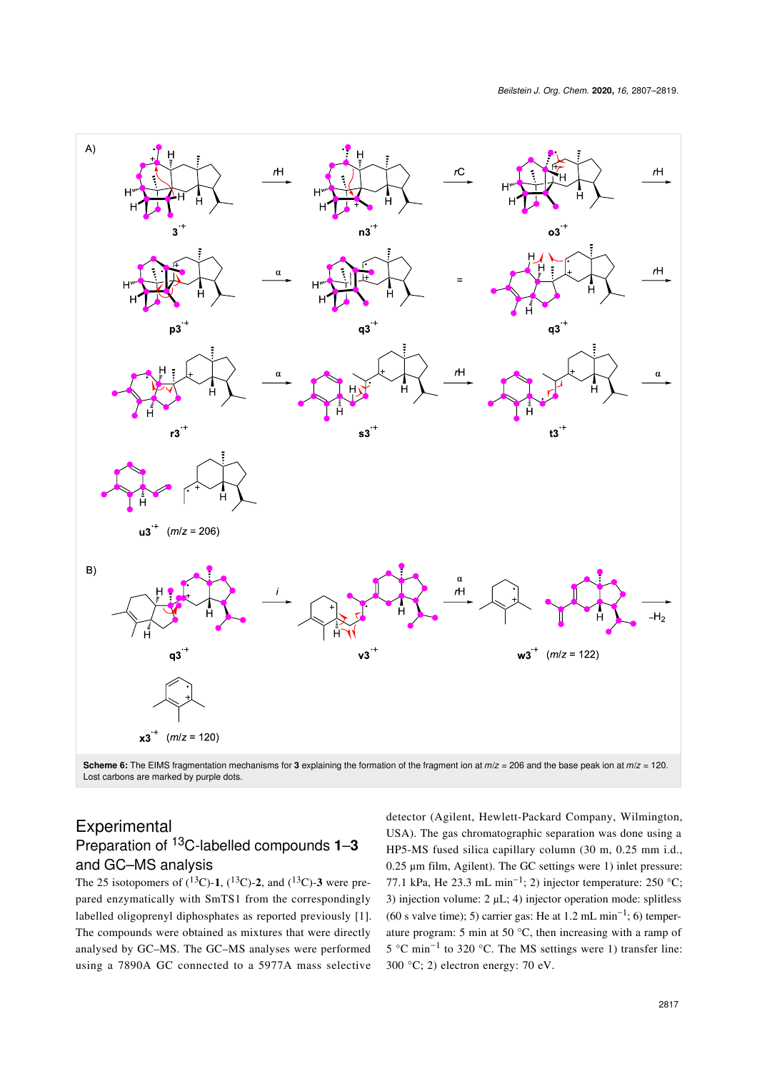<span id="page-10-0"></span>

Lost carbons are marked by purple dots.

#### Experimental Preparation of 13C-labelled compounds **1**–**3**

#### and GC–MS analysis

The 25 isotopomers of  $(^{13}C)$ -1,  $(^{13}C)$ -2, and  $(^{13}C)$ -3 were prepared enzymatically with SmTS1 from the correspondingly labelled oligoprenyl diphosphates as reported previously [\[1\]](#page-11-0). The compounds were obtained as mixtures that were directly analysed by GC–MS. The GC–MS analyses were performed using a 7890A GC connected to a 5977A mass selective

detector (Agilent, Hewlett-Packard Company, Wilmington, USA). The gas chromatographic separation was done using a HP5-MS fused silica capillary column (30 m, 0.25 mm i.d., 0.25 μm film, Agilent). The GC settings were 1) inlet pressure: 77.1 kPa, He 23.3 mL min<sup>-1</sup>; 2) injector temperature: 250 °C; 3) injection volume: 2 μL; 4) injector operation mode: splitless (60 s valve time); 5) carrier gas: He at 1.2 mL min<sup>-1</sup>; 6) temperature program: 5 min at 50 °C, then increasing with a ramp of 5 °C min−<sup>1</sup> to 320 °C. The MS settings were 1) transfer line: 300 °C; 2) electron energy: 70 eV.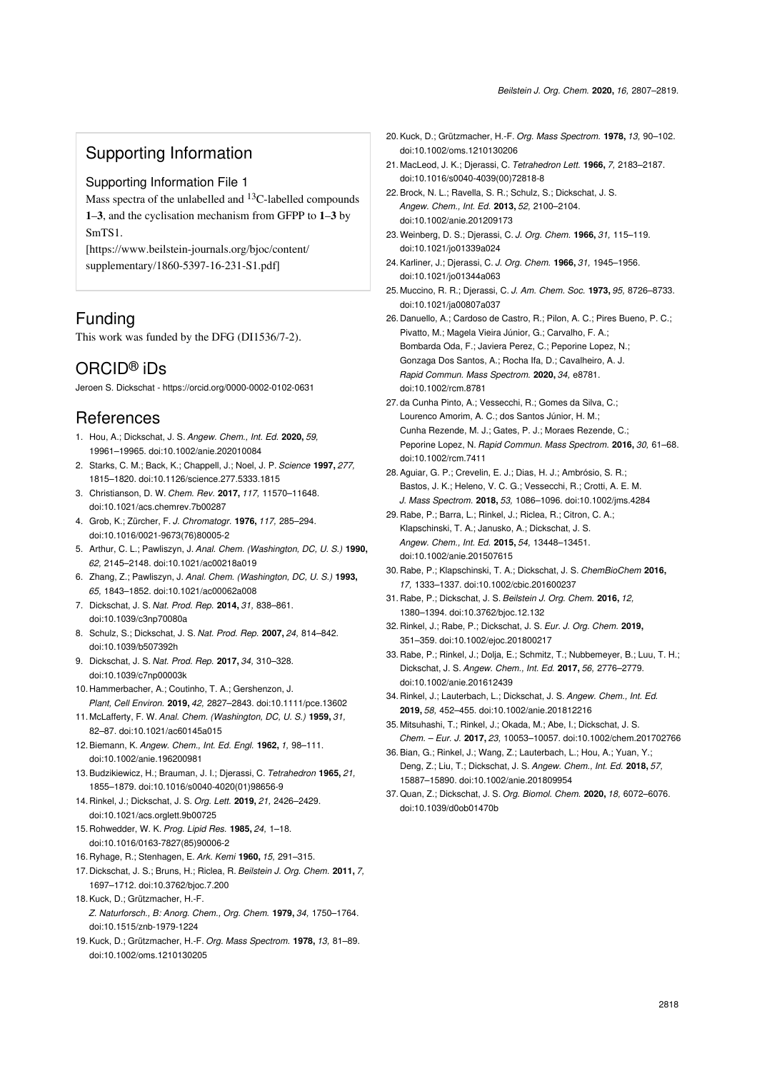## Supporting Information

#### <span id="page-11-17"></span>Supporting Information File 1

Mass spectra of the unlabelled and  $^{13}$ C-labelled compounds **1**–**3**, and the cyclisation mechanism from GFPP to **1**–**3** by SmTS1.

[\[https://www.beilstein-journals.org/bjoc/content/](https://www.beilstein-journals.org/bjoc/content/supplementary/1860-5397-16-231-S1.pdf) [supplementary/1860-5397-16-231-S1.pdf\]](https://www.beilstein-journals.org/bjoc/content/supplementary/1860-5397-16-231-S1.pdf)

## Funding

This work was funded by the DFG (DI1536/7-2).

# ORCID® iDs

Jeroen S. Dickschat - <https://orcid.org/0000-0002-0102-0631>

## References

- <span id="page-11-0"></span>1. Hou, A.; Dickschat, J. S. *Angew. Chem., Int. Ed.* **2020,** *59,* 19961–19965. [doi:10.1002/anie.202010084](https://doi.org/10.1002%2Fanie.202010084)
- <span id="page-11-1"></span>2. Starks, C. M.; Back, K.; Chappell, J.; Noel, J. P. *Science* **1997,** *277,* 1815–1820. [doi:10.1126/science.277.5333.1815](https://doi.org/10.1126%2Fscience.277.5333.1815)
- 3. Christianson, D. W. *Chem. Rev.* **2017,** *117,* 11570–11648. [doi:10.1021/acs.chemrev.7b00287](https://doi.org/10.1021%2Facs.chemrev.7b00287)
- <span id="page-11-2"></span>4. Grob, K.; Zürcher, F. *J. Chromatogr.* **1976,** *117,* 285–294. [doi:10.1016/0021-9673\(76\)80005-2](https://doi.org/10.1016%2F0021-9673%2876%2980005-2)
- <span id="page-11-3"></span>5. Arthur, C. L.; Pawliszyn, J. *Anal. Chem. (Washington, DC, U. S.)* **1990,** *62,* 2145–2148. [doi:10.1021/ac00218a019](https://doi.org/10.1021%2Fac00218a019)
- 6. Zhang, Z.; Pawliszyn, J. *Anal. Chem. (Washington, DC, U. S.)* **1993,** *65,* 1843–1852. [doi:10.1021/ac00062a008](https://doi.org/10.1021%2Fac00062a008)
- <span id="page-11-4"></span>7. Dickschat, J. S. *Nat. Prod. Rep.* **2014,** *31,* 838–861. [doi:10.1039/c3np70080a](https://doi.org/10.1039%2Fc3np70080a)
- <span id="page-11-5"></span>8. Schulz, S.; Dickschat, J. S. *Nat. Prod. Rep.* **2007,** *24,* 814–842. [doi:10.1039/b507392h](https://doi.org/10.1039%2Fb507392h)
- 9. Dickschat, J. S. *Nat. Prod. Rep.* **2017,** *34,* 310–328. [doi:10.1039/c7np00003k](https://doi.org/10.1039%2Fc7np00003k)
- 10. Hammerbacher, A.; Coutinho, T. A.; Gershenzon, J. *Plant, Cell Environ.* **2019,** *42,* 2827–2843. [doi:10.1111/pce.13602](https://doi.org/10.1111%2Fpce.13602)
- <span id="page-11-6"></span>11. McLafferty, F. W. *Anal. Chem. (Washington, DC, U. S.)* **1959,** *31,* 82–87. [doi:10.1021/ac60145a015](https://doi.org/10.1021%2Fac60145a015)
- <span id="page-11-7"></span>12.Biemann, K. *Angew. Chem., Int. Ed. Engl.* **1962,** *1,* 98–111. [doi:10.1002/anie.196200981](https://doi.org/10.1002%2Fanie.196200981)
- 13.Budzikiewicz, H.; Brauman, J. I.; Djerassi, C. *Tetrahedron* **1965,** *21,* 1855–1879. [doi:10.1016/s0040-4020\(01\)98656-9](https://doi.org/10.1016%2Fs0040-4020%2801%2998656-9)
- <span id="page-11-8"></span>14. Rinkel, J.; Dickschat, J. S. *Org. Lett.* **2019,** *21,* 2426–2429. [doi:10.1021/acs.orglett.9b00725](https://doi.org/10.1021%2Facs.orglett.9b00725)
- <span id="page-11-9"></span>15. Rohwedder, W. K. *Prog. Lipid Res.* **1985,** *24,* 1–18. [doi:10.1016/0163-7827\(85\)90006-2](https://doi.org/10.1016%2F0163-7827%2885%2990006-2)
- 16. Ryhage, R.; Stenhagen, E. *Ark. Kemi* **1960,** *15,* 291–315.
- <span id="page-11-10"></span>17. Dickschat, J. S.; Bruns, H.; Riclea, R. *Beilstein J. Org. Chem.* **2011,** *7,* 1697–1712. [doi:10.3762/bjoc.7.200](https://doi.org/10.3762%2Fbjoc.7.200)
- <span id="page-11-11"></span>18.Kuck, D.; Grützmacher, H.-F. *Z. Naturforsch., B: Anorg. Chem., Org. Chem.* **1979,** *34,* 1750–1764. [doi:10.1515/znb-1979-1224](https://doi.org/10.1515%2Fznb-1979-1224)
- 19.Kuck, D.; Grützmacher, H.-F. *Org. Mass Spectrom.* **1978,** *13,* 81–89. [doi:10.1002/oms.1210130205](https://doi.org/10.1002%2Foms.1210130205)
- 20.Kuck, D.; Grützmacher, H.-F. *Org. Mass Spectrom.* **1978,** *13,* 90–102. [doi:10.1002/oms.1210130206](https://doi.org/10.1002%2Foms.1210130206)
- <span id="page-11-14"></span>21. MacLeod, J. K.; Djerassi, C. *Tetrahedron Lett.* **1966,** *7,* 2183–2187. [doi:10.1016/s0040-4039\(00\)72818-8](https://doi.org/10.1016%2Fs0040-4039%2800%2972818-8)
- <span id="page-11-12"></span>22.Brock, N. L.; Ravella, S. R.; Schulz, S.; Dickschat, J. S. *Angew. Chem., Int. Ed.* **2013,** *52,* 2100–2104. [doi:10.1002/anie.201209173](https://doi.org/10.1002%2Fanie.201209173)
- <span id="page-11-13"></span>23.Weinberg, D. S.; Djerassi, C. *J. Org. Chem.* **1966,** *31,* 115–119. [doi:10.1021/jo01339a024](https://doi.org/10.1021%2Fjo01339a024)
- 24.Karliner, J.; Djerassi, C. *J. Org. Chem.* **1966,** *31,* 1945–1956. [doi:10.1021/jo01344a063](https://doi.org/10.1021%2Fjo01344a063)
- 25. Muccino, R. R.; Djerassi, C. *J. Am. Chem. Soc.* **1973,** *95,* 8726–8733. [doi:10.1021/ja00807a037](https://doi.org/10.1021%2Fja00807a037)
- <span id="page-11-15"></span>26. Danuello, A.; Cardoso de Castro, R.; Pilon, A. C.; Pires Bueno, P. C.; Pivatto, M.; Magela Vieira Júnior, G.; Carvalho, F. A.; Bombarda Oda, F.; Javiera Perez, C.; Peporine Lopez, N.; Gonzaga Dos Santos, A.; Rocha Ifa, D.; Cavalheiro, A. J. *Rapid Commun. Mass Spectrom.* **2020,** *34,* e8781. [doi:10.1002/rcm.8781](https://doi.org/10.1002%2Frcm.8781)
- 27. da Cunha Pinto, A.; Vessecchi, R.; Gomes da Silva, C.; Lourenco Amorim, A. C.; dos Santos Júnior, H. M.; Cunha Rezende, M. J.; Gates, P. J.; Moraes Rezende, C.; Peporine Lopez, N. *Rapid Commun. Mass Spectrom.* **2016,** *30,* 61–68. [doi:10.1002/rcm.7411](https://doi.org/10.1002%2Frcm.7411)
- 28.Aguiar, G. P.; Crevelin, E. J.; Dias, H. J.; Ambrósio, S. R.; Bastos, J. K.; Heleno, V. C. G.; Vessecchi, R.; Crotti, A. E. M. *J. Mass Spectrom.* **2018,** *53,* 1086–1096. [doi:10.1002/jms.4284](https://doi.org/10.1002%2Fjms.4284)
- 29. Rabe, P.; Barra, L.; Rinkel, J.; Riclea, R.; Citron, C. A.; Klapschinski, T. A.; Janusko, A.; Dickschat, J. S. *Angew. Chem., Int. Ed.* **2015,** *54,* 13448–13451. [doi:10.1002/anie.201507615](https://doi.org/10.1002%2Fanie.201507615)
- 30. Rabe, P.; Klapschinski, T. A.; Dickschat, J. S. *ChemBioChem* **2016,** *17,* 1333–1337. [doi:10.1002/cbic.201600237](https://doi.org/10.1002%2Fcbic.201600237)
- 31. Rabe, P.; Dickschat, J. S. *Beilstein J. Org. Chem.* **2016,** *12,* 1380–1394. [doi:10.3762/bjoc.12.132](https://doi.org/10.3762%2Fbjoc.12.132)
- 32. Rinkel, J.; Rabe, P.; Dickschat, J. S. *Eur. J. Org. Chem.* **2019,** 351–359. [doi:10.1002/ejoc.201800217](https://doi.org/10.1002%2Fejoc.201800217)
- <span id="page-11-16"></span>33. Rabe, P.; Rinkel, J.; Dolja, E.; Schmitz, T.; Nubbemeyer, B.; Luu, T. H.; Dickschat, J. S. *Angew. Chem., Int. Ed.* **2017,** *56,* 2776–2779. [doi:10.1002/anie.201612439](https://doi.org/10.1002%2Fanie.201612439)
- 34. Rinkel, J.; Lauterbach, L.; Dickschat, J. S. *Angew. Chem., Int. Ed.* **2019,** *58,* 452–455. [doi:10.1002/anie.201812216](https://doi.org/10.1002%2Fanie.201812216)
- 35. Mitsuhashi, T.; Rinkel, J.; Okada, M.; Abe, I.; Dickschat, J. S. *Chem. – Eur. J.* **2017,** *23,* 10053–10057. [doi:10.1002/chem.201702766](https://doi.org/10.1002%2Fchem.201702766)
- 36.Bian, G.; Rinkel, J.; Wang, Z.; Lauterbach, L.; Hou, A.; Yuan, Y.; Deng, Z.; Liu, T.; Dickschat, J. S. *Angew. Chem., Int. Ed.* **2018,** *57,* 15887–15890. [doi:10.1002/anie.201809954](https://doi.org/10.1002%2Fanie.201809954)
- 37.Quan, Z.; Dickschat, J. S. *Org. Biomol. Chem.* **2020,** *18,* 6072–6076. [doi:10.1039/d0ob01470b](https://doi.org/10.1039%2Fd0ob01470b)